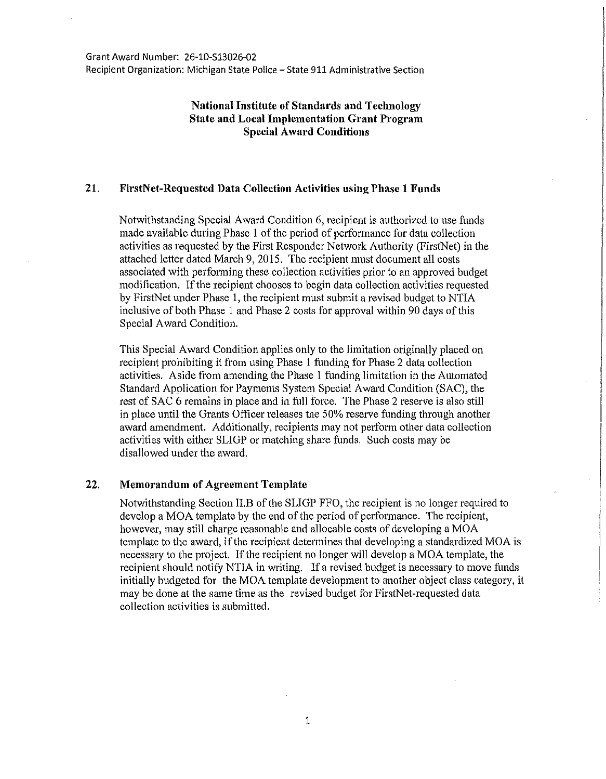## **National Institute of Standards and Technology State and Local Implementation Grant Program Special Award Conditions**

## **21. FirstNet-Requestcd Data Collection Activities using Phase 1 Funds**

Notwithstanding Special Award Condition 6, recipient is authorized to use funds made available during Phase l of the period of performance for data collection activities as requested by the First Responder Network Authority (FirstNet) in the attached letter dated March 9, 2015. The recipient must document all costs associated with performing these collection activities prior to an approved budget modification. If the recipient chooses to begin data collection activities requested by FirstNet under Phase l, the recipient must submit a revised budget to NTIA inclusive of both Phase l and Phase 2 costs for approval within 90 days of this Special Award Condition.

This Special Award Condition applies only to the limitation originally placed on recipient prohibiting it from using Phase 1 funding for Phase 2 data collection activities. Aside from amending the Phase 1 funding limitation in the Automated Standard Application for Payments System Special Award Condition (SAC), the rest of SAC 6 remains in place and in full force. The Phase 2 reserve is also still in place until the Grants Officer releases the 50% reserve funding through another award amendment. Additionally, recipients may not perform other data collection activities with either SLIGP or matching share funds. Such costs may be disallowed under the award.

## **22. Memorandum of Agreement Template**

Notwithstanding Section II.B of the SLIGP FFO, the recipient is no longer required to develop a MOA template by the end of the period of performance. The recipient, however, may still charge reasonable and allocable costs of developing a MOA template to the award, if the recipient determines that developing a standardized MOA is necessary to the project. If the recipient no longer will develop a MOA template, the recipient should notify NTIA in writing. If a revised budget is necessary to move funds initially budgeted for the MOA template development to another object class category, it may be done at the same time as the revised budget for FirstNet-requested data collection activities is submitted.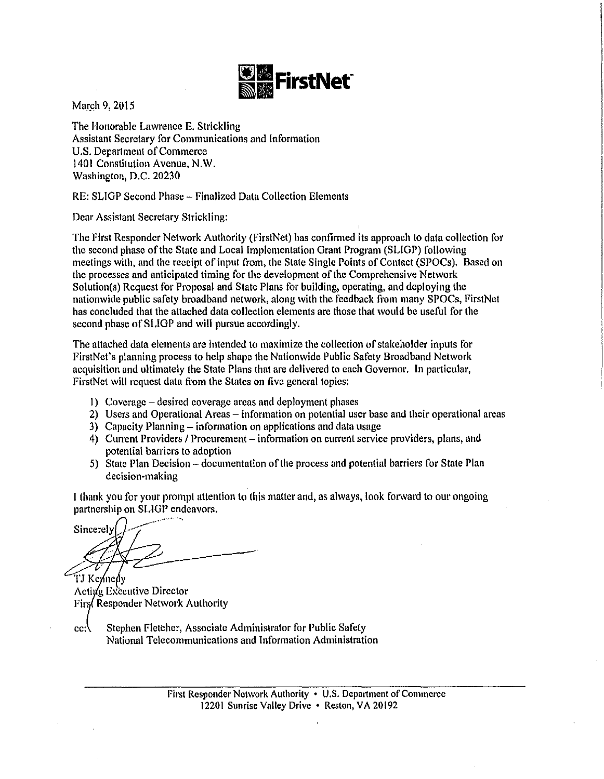

March 9, 2015

The Honorable Lawrence E. Strickling Assistant Secretary for Communications and Information U.S. Department of Commerce 1401 Constitution Avenue, N. W. Washington, D.C. 20230

RE: SLIGP Second Phase - Finalized Data Collection Elements

Dear Assistant Secretary Strickling:

The First Responder Network Authority (FirstNet) has confirmed its approach to data collection for the second phase of the State and Local Implementation Grant Program (SLIGP) following meetings with, and the receipt of input from, the Stale Single Points of Contact (SPOCs). Based on the processes and anticipated timing for the development of the Comprehensive Network Solution(s) Request for Proposal and State Plans for building, operating, and deploying the nationwide public safety broadband network, along with the feedback from many SPOCs, FirstNct has concluded that the attached data collection elements are those that would be useful for the second phase of SLIGP and will pursue accordingly.

The attached data elements arc intended to maximize the collection of stakeholder inputs for FirstNet's planning process to help shape the Nationwide Public Safety Broadband Network acquisition and ultimately the State Plans that are delivered to each Governor. In particular, FirstNet will request data from the States on five general topics:

- 1) Coverage- desired coverage areas and deployment phases
- 2) Users and Operational Areas- information on potential user base and their operational areas
- 3) Capacity Planning- information on applications and data usage
- 4) Current Providers / Procurement information on current service providers, plans, and potential barriers to adoption
- 5) State Plan Decision- documentation of the process and potential barriers for State Plan decision-making

I thank you for your prompt attention to this matter and, as always, look forward to our ongoing partnership on SLIGP endeavors.

Sincerely TJ Keynedy

Active Executive Director First Responder Network Authority

cc: Stephen Fletcher, Associate Administrator for Public Safety National Telecommunications and Information Administration